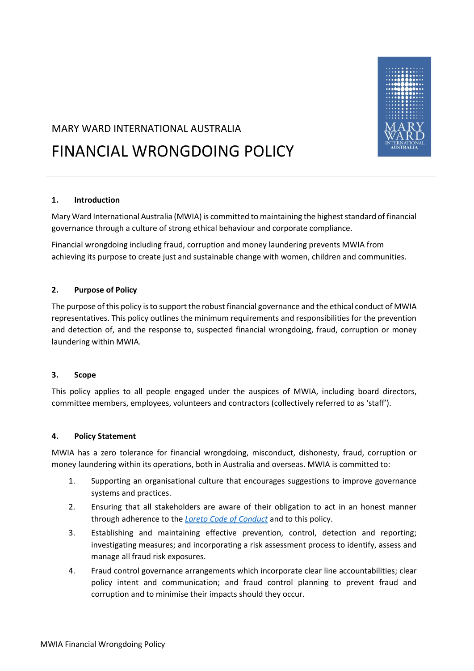

# MARY WARD INTERNATIONAL AUSTRALIA

# FINANCIAL WRONGDOING POLICY

# **1. Introduction**

Mary Ward International Australia (MWIA) is committed to maintaining the highest standard of financial governance through a culture of strong ethical behaviour and corporate compliance.

Financial wrongdoing including fraud, corruption and money laundering prevents MWIA from achieving its purpose to create just and sustainable change with women, children and communities.

# **2. Purpose of Policy**

The purpose of this policy is to support the robust financial governance and the ethical conduct of MWIA representatives. This policy outlines the minimum requirements and responsibilities for the prevention and detection of, and the response to, suspected financial wrongdoing, fraud, corruption or money laundering within MWIA.

#### **3. Scope**

This policy applies to all people engaged under the auspices of MWIA, including board directors, committee members, employees, volunteers and contractors (collectively referred to as 'staff').

#### **4. Policy Statement**

MWIA has a zero tolerance for financial wrongdoing, misconduct, dishonesty, fraud, corruption or money laundering within its operations, both in Australia and overseas. MWIA is committed to:

- 1. Supporting an organisational culture that encourages suggestions to improve governance systems and practices.
- 2. Ensuring that all stakeholders are aware of their obligation to act in an honest manner through adherence to the *[Loreto Code of Conduct](https://www.mwia.org.au/wp-content/uploads/2021/02/loreto_coc_2019_v2.pdf)* and to this policy.
- 3. Establishing and maintaining effective prevention, control, detection and reporting; investigating measures; and incorporating a risk assessment process to identify, assess and manage all fraud risk exposures.
- 4. Fraud control governance arrangements which incorporate clear line accountabilities; clear policy intent and communication; and fraud control planning to prevent fraud and corruption and to minimise their impacts should they occur.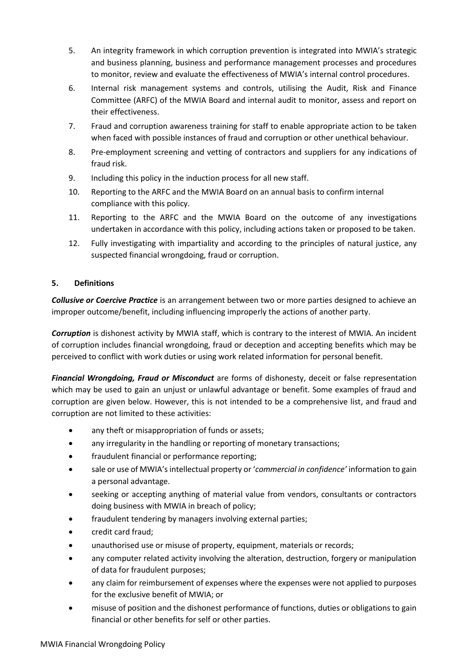- 5. An integrity framework in which corruption prevention is integrated into MWIA's strategic and business planning, business and performance management processes and procedures to monitor, review and evaluate the effectiveness of MWIA's internal control procedures.
- 6. Internal risk management systems and controls, utilising the Audit, Risk and Finance Committee (ARFC) of the MWIA Board and internal audit to monitor, assess and report on their effectiveness.
- 7. Fraud and corruption awareness training for staff to enable appropriate action to be taken when faced with possible instances of fraud and corruption or other unethical behaviour.
- 8. Pre-employment screening and vetting of contractors and suppliers for any indications of fraud risk.
- 9. Including this policy in the induction process for all new staff.
- 10. Reporting to the ARFC and the MWIA Board on an annual basis to confirm internal compliance with this policy.
- 11. Reporting to the ARFC and the MWIA Board on the outcome of any investigations undertaken in accordance with this policy, including actions taken or proposed to be taken.
- 12. Fully investigating with impartiality and according to the principles of natural justice, any suspected financial wrongdoing, fraud or corruption.

# **5. Definitions**

*Collusive or Coercive Practice* is an arrangement between two or more parties designed to achieve an improper outcome/benefit, including influencing improperly the actions of another party.

*Corruption* is dishonest activity by MWIA staff, which is contrary to the interest of MWIA. An incident of corruption includes financial wrongdoing, fraud or deception and accepting benefits which may be perceived to conflict with work duties or using work related information for personal benefit.

*Financial Wrongdoing, Fraud or Misconduct* are forms of dishonesty, deceit or false representation which may be used to gain an unjust or unlawful advantage or benefit. Some examples of fraud and corruption are given below. However, this is not intended to be a comprehensive list, and fraud and corruption are not limited to these activities:

- any theft or misappropriation of funds or assets;
- any irregularity in the handling or reporting of monetary transactions;
- fraudulent financial or performance reporting;
- sale or use of MWIA's intellectual property or '*commercial in confidence'* information to gain a personal advantage.
- seeking or accepting anything of material value from vendors, consultants or contractors doing business with MWIA in breach of policy;
- fraudulent tendering by managers involving external parties;
- credit card fraud;
- unauthorised use or misuse of property, equipment, materials or records;
- any computer related activity involving the alteration, destruction, forgery or manipulation of data for fraudulent purposes;
- any claim for reimbursement of expenses where the expenses were not applied to purposes for the exclusive benefit of MWIA; or
- misuse of position and the dishonest performance of functions, duties or obligations to gain financial or other benefits for self or other parties.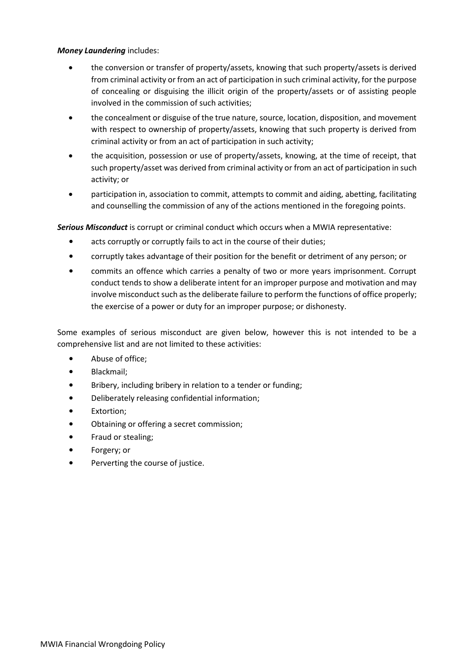# *Money Laundering* includes:

- the conversion or transfer of property/assets, knowing that such property/assets is derived from criminal activity or from an act of participation in such criminal activity, for the purpose of concealing or disguising the illicit origin of the property/assets or of assisting people involved in the commission of such activities;
- the concealment or disguise of the true nature, source, location, disposition, and movement with respect to ownership of property/assets, knowing that such property is derived from criminal activity or from an act of participation in such activity;
- the acquisition, possession or use of property/assets, knowing, at the time of receipt, that such property/asset was derived from criminal activity or from an act of participation in such activity; or
- participation in, association to commit, attempts to commit and aiding, abetting, facilitating and counselling the commission of any of the actions mentioned in the foregoing points.

*Serious Misconduct* is corrupt or criminal conduct which occurs when a MWIA representative:

- acts corruptly or corruptly fails to act in the course of their duties;
- corruptly takes advantage of their position for the benefit or detriment of any person; or
- commits an offence which carries a penalty of two or more years imprisonment. Corrupt conduct tends to show a deliberate intent for an improper purpose and motivation and may involve misconduct such as the deliberate failure to perform the functions of office properly; the exercise of a power or duty for an improper purpose; or dishonesty.

Some examples of serious misconduct are given below, however this is not intended to be a comprehensive list and are not limited to these activities:

- Abuse of office;
- Blackmail;
- Bribery, including bribery in relation to a tender or funding;
- Deliberately releasing confidential information;
- Extortion;
- Obtaining or offering a secret commission;
- Fraud or stealing;
- Forgery; or
- Perverting the course of justice.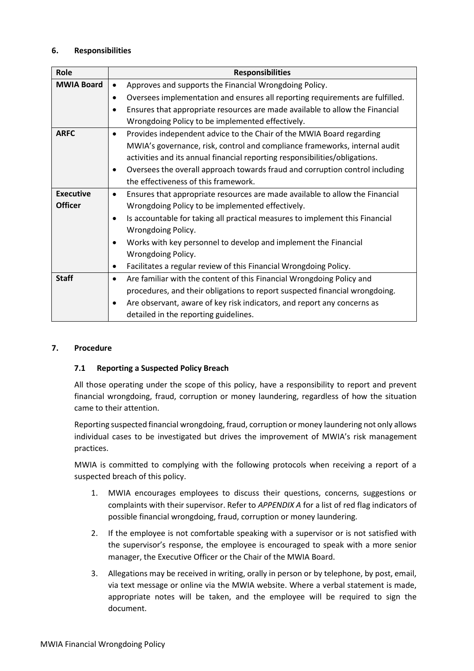# **6. Responsibilities**

| Role              | <b>Responsibilities</b>                                                                   |  |
|-------------------|-------------------------------------------------------------------------------------------|--|
|                   |                                                                                           |  |
| <b>MWIA Board</b> | Approves and supports the Financial Wrongdoing Policy.<br>$\bullet$                       |  |
|                   | Oversees implementation and ensures all reporting requirements are fulfilled.<br>٠        |  |
|                   | Ensures that appropriate resources are made available to allow the Financial<br>$\bullet$ |  |
|                   | Wrongdoing Policy to be implemented effectively.                                          |  |
| <b>ARFC</b>       | Provides independent advice to the Chair of the MWIA Board regarding<br>$\bullet$         |  |
|                   | MWIA's governance, risk, control and compliance frameworks, internal audit                |  |
|                   | activities and its annual financial reporting responsibilities/obligations.               |  |
|                   | Oversees the overall approach towards fraud and corruption control including<br>$\bullet$ |  |
|                   | the effectiveness of this framework.                                                      |  |
| <b>Executive</b>  | Ensures that appropriate resources are made available to allow the Financial<br>٠         |  |
| <b>Officer</b>    | Wrongdoing Policy to be implemented effectively.                                          |  |
|                   | Is accountable for taking all practical measures to implement this Financial              |  |
|                   | Wrongdoing Policy.                                                                        |  |
|                   | Works with key personnel to develop and implement the Financial                           |  |
|                   | Wrongdoing Policy.                                                                        |  |
|                   | Facilitates a regular review of this Financial Wrongdoing Policy.<br>$\bullet$            |  |
| <b>Staff</b>      | Are familiar with the content of this Financial Wrongdoing Policy and<br>$\bullet$        |  |
|                   | procedures, and their obligations to report suspected financial wrongdoing.               |  |
|                   | Are observant, aware of key risk indicators, and report any concerns as<br>$\bullet$      |  |
|                   | detailed in the reporting guidelines.                                                     |  |

#### **7. Procedure**

#### **7.1 Reporting a Suspected Policy Breach**

All those operating under the scope of this policy, have a responsibility to report and prevent financial wrongdoing, fraud, corruption or money laundering, regardless of how the situation came to their attention.

Reporting suspected financial wrongdoing, fraud, corruption or money laundering not only allows individual cases to be investigated but drives the improvement of MWIA's risk management practices.

MWIA is committed to complying with the following protocols when receiving a report of a suspected breach of this policy.

- 1. MWIA encourages employees to discuss their questions, concerns, suggestions or complaints with their supervisor. Refer to *APPENDIX A* for a list of red flag indicators of possible financial wrongdoing, fraud, corruption or money laundering.
- 2. If the employee is not comfortable speaking with a supervisor or is not satisfied with the supervisor's response, the employee is encouraged to speak with a more senior manager, the Executive Officer or the Chair of the MWIA Board.
- 3. Allegations may be received in writing, orally in person or by telephone, by post, email, via text message or online via the MWIA website. Where a verbal statement is made, appropriate notes will be taken, and the employee will be required to sign the document.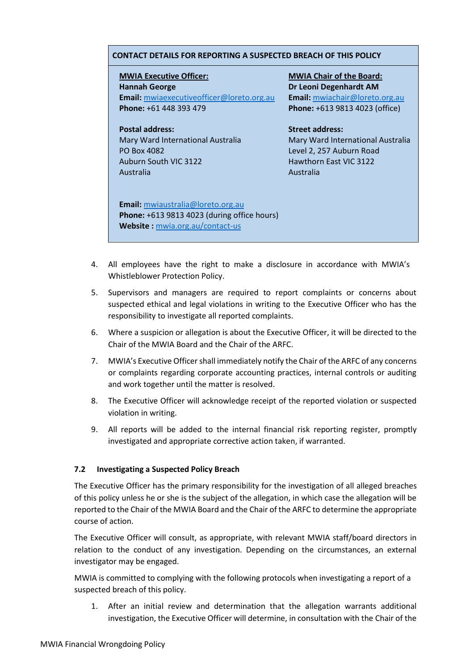#### **CONTACT DETAILS FOR REPORTING A SUSPECTED BREACH OF THIS POLICY**

**MWIA Executive Officer: Hannah George Email:** [mwiaexecutiveofficer@loreto.org.au](mailto:mwiaexecutiveofficer@loreto.org.au) **Phone:** +61 448 393 479

**Postal address:** 

Mary Ward International Australia PO Box 4082 Auburn South VIC 3122 Australia

**MWIA Chair of the Board: Dr Leoni Degenhardt AM Email:** [mwiachair@loreto.org.au](mailto:mwiachair@loreto.org.au) **Phone:** +613 9813 4023 (office)

**Street address:**  Mary Ward International Australia Level 2, 257 Auburn Road Hawthorn East VIC 3122 Australia

**Email:** [mwiaustralia@loreto.org.au](mailto:mwiaustralia@loreto.org.au) **Phone:** +613 9813 4023 (during office hours) **Website :** [mwia.org.au/contact-us](https://www.mwia.org.au/contact-us/)

- 4. All employees have the right to make a disclosure in accordance with MWIA's Whistleblower Protection Policy.
- 5. Supervisors and managers are required to report complaints or concerns about suspected ethical and legal violations in writing to the Executive Officer who has the responsibility to investigate all reported complaints.
- 6. Where a suspicion or allegation is about the Executive Officer, it will be directed to the Chair of the MWIA Board and the Chair of the ARFC.
- 7. MWIA's Executive Officer shall immediately notify the Chair of the ARFC of any concerns or complaints regarding corporate accounting practices, internal controls or auditing and work together until the matter is resolved.
- 8. The Executive Officer will acknowledge receipt of the reported violation or suspected violation in writing.
- 9. All reports will be added to the internal financial risk reporting register, promptly investigated and appropriate corrective action taken, if warranted.

#### **7.2 Investigating a Suspected Policy Breach**

The Executive Officer has the primary responsibility for the investigation of all alleged breaches of this policy unless he or she is the subject of the allegation, in which case the allegation will be reported to the Chair of the MWIA Board and the Chair of the ARFC to determine the appropriate course of action.

The Executive Officer will consult, as appropriate, with relevant MWIA staff/board directors in relation to the conduct of any investigation. Depending on the circumstances, an external investigator may be engaged.

MWIA is committed to complying with the following protocols when investigating a report of a suspected breach of this policy.

1. After an initial review and determination that the allegation warrants additional investigation, the Executive Officer will determine, in consultation with the Chair of the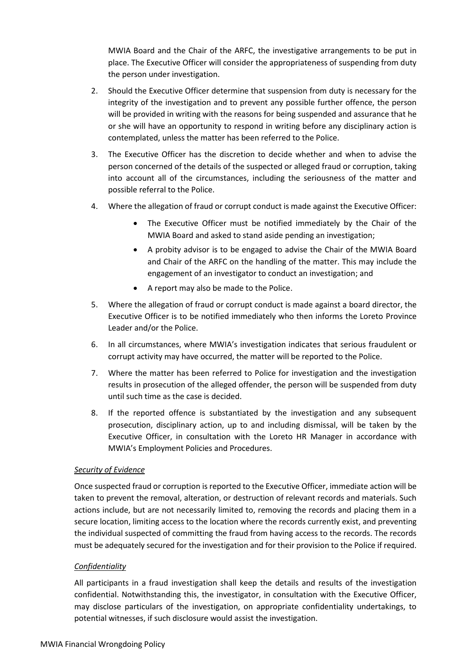MWIA Board and the Chair of the ARFC, the investigative arrangements to be put in place. The Executive Officer will consider the appropriateness of suspending from duty the person under investigation.

- 2. Should the Executive Officer determine that suspension from duty is necessary for the integrity of the investigation and to prevent any possible further offence, the person will be provided in writing with the reasons for being suspended and assurance that he or she will have an opportunity to respond in writing before any disciplinary action is contemplated, unless the matter has been referred to the Police.
- 3. The Executive Officer has the discretion to decide whether and when to advise the person concerned of the details of the suspected or alleged fraud or corruption, taking into account all of the circumstances, including the seriousness of the matter and possible referral to the Police.
- 4. Where the allegation of fraud or corrupt conduct is made against the Executive Officer:
	- The Executive Officer must be notified immediately by the Chair of the MWIA Board and asked to stand aside pending an investigation;
	- A probity advisor is to be engaged to advise the Chair of the MWIA Board and Chair of the ARFC on the handling of the matter. This may include the engagement of an investigator to conduct an investigation; and
	- A report may also be made to the Police.
- 5. Where the allegation of fraud or corrupt conduct is made against a board director, the Executive Officer is to be notified immediately who then informs the Loreto Province Leader and/or the Police.
- 6. In all circumstances, where MWIA's investigation indicates that serious fraudulent or corrupt activity may have occurred, the matter will be reported to the Police.
- 7. Where the matter has been referred to Police for investigation and the investigation results in prosecution of the alleged offender, the person will be suspended from duty until such time as the case is decided.
- 8. If the reported offence is substantiated by the investigation and any subsequent prosecution, disciplinary action, up to and including dismissal, will be taken by the Executive Officer, in consultation with the Loreto HR Manager in accordance with MWIA's Employment Policies and Procedures.

#### *Security of Evidence*

Once suspected fraud or corruption is reported to the Executive Officer, immediate action will be taken to prevent the removal, alteration, or destruction of relevant records and materials. Such actions include, but are not necessarily limited to, removing the records and placing them in a secure location, limiting access to the location where the records currently exist, and preventing the individual suspected of committing the fraud from having access to the records. The records must be adequately secured for the investigation and for their provision to the Police if required.

#### *Confidentiality*

All participants in a fraud investigation shall keep the details and results of the investigation confidential. Notwithstanding this, the investigator, in consultation with the Executive Officer, may disclose particulars of the investigation, on appropriate confidentiality undertakings, to potential witnesses, if such disclosure would assist the investigation.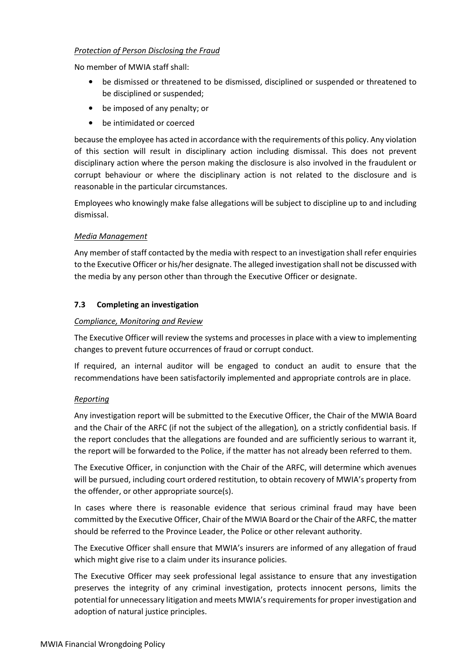# *Protection of Person Disclosing the Fraud*

No member of MWIA staff shall:

- be dismissed or threatened to be dismissed, disciplined or suspended or threatened to be disciplined or suspended;
- be imposed of any penalty; or
- be intimidated or coerced

because the employee has acted in accordance with the requirements of this policy. Any violation of this section will result in disciplinary action including dismissal. This does not prevent disciplinary action where the person making the disclosure is also involved in the fraudulent or corrupt behaviour or where the disciplinary action is not related to the disclosure and is reasonable in the particular circumstances.

Employees who knowingly make false allegations will be subject to discipline up to and including dismissal.

# *Media Management*

Any member of staff contacted by the media with respect to an investigation shall refer enquiries to the Executive Officer or his/her designate. The alleged investigation shall not be discussed with the media by any person other than through the Executive Officer or designate.

# **7.3 Completing an investigation**

# *Compliance, Monitoring and Review*

The Executive Officer will review the systems and processes in place with a view to implementing changes to prevent future occurrences of fraud or corrupt conduct.

If required, an internal auditor will be engaged to conduct an audit to ensure that the recommendations have been satisfactorily implemented and appropriate controls are in place.

# *Reporting*

Any investigation report will be submitted to the Executive Officer, the Chair of the MWIA Board and the Chair of the ARFC (if not the subject of the allegation)*,* on a strictly confidential basis. If the report concludes that the allegations are founded and are sufficiently serious to warrant it, the report will be forwarded to the Police, if the matter has not already been referred to them.

The Executive Officer, in conjunction with the Chair of the ARFC, will determine which avenues will be pursued, including court ordered restitution, to obtain recovery of MWIA's property from the offender, or other appropriate source(s).

In cases where there is reasonable evidence that serious criminal fraud may have been committed by the Executive Officer, Chair of the MWIA Board or the Chair of the ARFC, the matter should be referred to the Province Leader, the Police or other relevant authority.

The Executive Officer shall ensure that MWIA's insurers are informed of any allegation of fraud which might give rise to a claim under its insurance policies.

The Executive Officer may seek professional legal assistance to ensure that any investigation preserves the integrity of any criminal investigation, protects innocent persons, limits the potential for unnecessary litigation and meets MWIA's requirements for proper investigation and adoption of natural justice principles.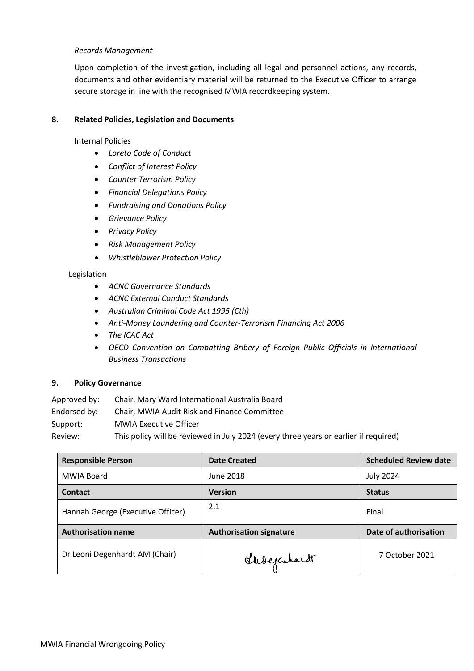# *Records Management*

Upon completion of the investigation, including all legal and personnel actions, any records, documents and other evidentiary material will be returned to the Executive Officer to arrange secure storage in line with the recognised MWIA recordkeeping system.

#### **8. Related Policies, Legislation and Documents**

#### Internal Policies

- *Loreto Code of Conduct*
- *Conflict of Interest Policy*
- *Counter Terrorism Policy*
- *Financial Delegations Policy*
- *Fundraising and Donations Policy*
- *Grievance Policy*
- *Privacy Policy*
- *Risk Management Policy*
- *Whistleblower Protection Policy*

# Legislation

- *ACNC Governance Standards*
- *ACNC External Conduct Standards*
- *[Australian Criminal Code Act 1995 \(Cth\)](https://www.legislation.gov.au/Details/C2017C00235)*
- *Anti-Money Laundering [and Counter-Terrorism](https://www.legislation.gov.au/Details/C2006A00169) Financing Act 2006*
- *[The ICAC Act](https://www.legislation.nsw.gov.au/#/search/inForceActs/title/exactwords=Independent%20Commission%20Against%20Corruption%20Act%201988%20No%2035)*
- *OECD Convention on Combatting Bribery of Foreign Public Officials in International Business Transactions*

# **9. Policy Governance**

Approved by: Chair, Mary Ward International Australia Board

Endorsed by: Chair, MWIA Audit Risk and Finance Committee

Support: MWIA Executive Officer

Review: This policy will be reviewed in July 2024 (every three years or earlier if required)

| <b>Responsible Person</b>         | <b>Date Created</b>            | <b>Scheduled Review date</b> |
|-----------------------------------|--------------------------------|------------------------------|
| MWIA Board                        | June 2018                      | <b>July 2024</b>             |
| Contact                           | <b>Version</b>                 | <b>Status</b>                |
| Hannah George (Executive Officer) | 2.1                            | Final                        |
| <b>Authorisation name</b>         | <b>Authorisation signature</b> | Date of authorisation        |
| Dr Leoni Degenhardt AM (Chair)    | Shoepcahardt                   | 7 October 2021               |